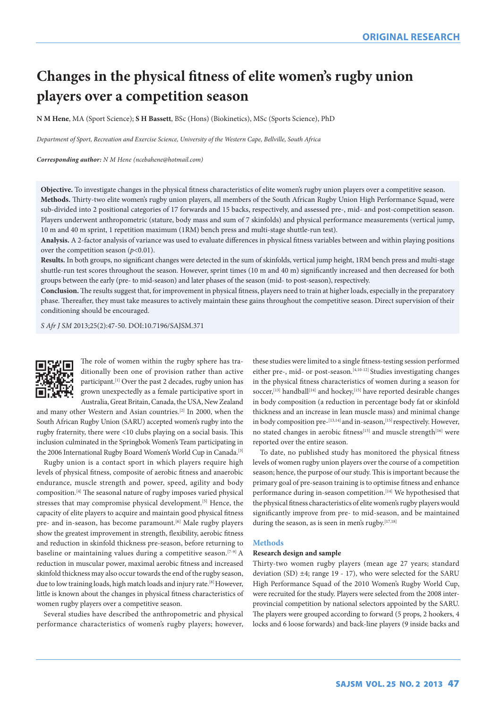# **Changes in the physical fitness of elite women's rugby union players over a competition season**

**N M Hene**, MA (Sport Science); **S H Bassett**, BSc (Hons) (Biokinetics), MSc (Sports Science), PhD

*Department of Sport, Recreation and Exercise Science, University of the Western Cape, Bellville, South Africa*

## *Corresponding author: N M Hene [\(ncebahene@hotmail.com\)](mailto:ncebahene@hotmail.com)*

**Objective.** To investigate changes in the physical fitness characteristics of elite women's rugby union players over a competitive season. **Methods.** Thirty-two elite women's rugby union players, all members of the South African Rugby Union High Performance Squad, were sub-divided into 2 positional categories of 17 forwards and 15 backs, respectively, and assessed pre-, mid- and post-competition season. Players underwent anthropometric (stature, body mass and sum of 7 skinfolds) and physical performance measurements (vertical jump, 10 m and 40 m sprint, 1 repetition maximum (1RM) bench press and multi-stage shuttle-run test).

**Analysis.** A 2-factor analysis of variance was used to evaluate differences in physical fitness variables between and within playing positions over the competition season  $(p<0.01)$ .

**Results.** In both groups, no significant changes were detected in the sum of skinfolds, vertical jump height, 1RM bench press and multi-stage shuttle-run test scores throughout the season. However, sprint times (10 m and 40 m) significantly increased and then decreased for both groups between the early (pre- to mid-season) and later phases of the season (mid- to post-season), respectively.

**Conclusion.** The results suggest that, for improvement in physical fitness, players need to train at higher loads, especially in the preparatory phase. Thereafter, they must take measures to actively maintain these gains throughout the competitive season. Direct supervision of their conditioning should be encouraged.

*S Afr J SM* 2013;25(2):47-50. DOI:10.7196/SAJSM.371



The role of women within the rugby sphere has traditionally been one of provision rather than active participant.<sup>[1]</sup> Over the past 2 decades, rugby union has grown unexpectedly as a female participative sport in Australia, Great Britain, Canada, the USA, New Zealand

and many other Western and Asian countries.[2] In 2000, when the South African Rugby Union (SARU) accepted women's rugby into the rugby fraternity, there were <10 clubs playing on a social basis. This inclusion culminated in the Springbok Women's Team participating in the 2006 International Rugby Board Women's World Cup in Canada.<sup>[3]</sup>

Rugby union is a contact sport in which players require high levels of physical fitness, composite of aerobic fitness and anaerobic endurance, muscle strength and power, speed, agility and body composition.[4] The seasonal nature of rugby imposes varied physical stresses that may compromise physical development.<sup>[5]</sup> Hence, the capacity of elite players to acquire and maintain good physical fitness pre- and in-season, has become paramount.<sup>[6]</sup> Male rugby players show the greatest improvement in strength, flexibility, aerobic fitness and reduction in skinfold thickness pre-season, before returning to baseline or maintaining values during a competitive season.<sup>[7-9]</sup> A reduction in muscular power, maximal aerobic fitness and increased skinfold thickness may also occur towards the end of the rugby season, due to low training loads, high match loads and injury rate.<sup>[8]</sup> However, little is known about the changes in physical fitness characteristics of women rugby players over a competitive season.

Several studies have described the anthropometric and physical performance characteristics of women's rugby players; however,

these studies were limited to a single fitness-testing session performed either pre-, mid- or post-season.<sup>[4,10-12]</sup> Studies investigating changes in the physical fitness characteristics of women during a season for soccer,<sup>[13]</sup> handball<sup>[14]</sup> and hockey,<sup>[15]</sup> have reported desirable changes in body composition (a reduction in percentage body fat or skinfold thickness and an increase in lean muscle mass) and minimal change in body composition pre-[13,14] and in-season, [15] respectively. However, no stated changes in aerobic fitness<sup>[15]</sup> and muscle strength<sup>[16]</sup> were reported over the entire season.

To date, no published study has monitored the physical fitness levels of women rugby union players over the course of a competition season; hence, the purpose of our study. This is important because the primary goal of pre-season training is to optimise fitness and enhance performance during in-season competition.<sup>[14]</sup> We hypothesised that the physical fitness characteristics of elite women's rugby players would significantly improve from pre- to mid-season, and be maintained during the season, as is seen in men's rugby.<sup>[17,18]</sup>

## **Methods**

## **Research design and sample**

Thirty-two women rugby players (mean age 27 years; standard deviation (SD)  $\pm 4$ ; range 19 - 17), who were selected for the SARU High Performance Squad of the 2010 Women's Rugby World Cup, were recruited for the study. Players were selected from the 2008 interprovincial competition by national selectors appointed by the SARU. The players were grouped according to forward (5 props, 2 hookers, 4 locks and 6 loose forwards) and back-line players (9 inside backs and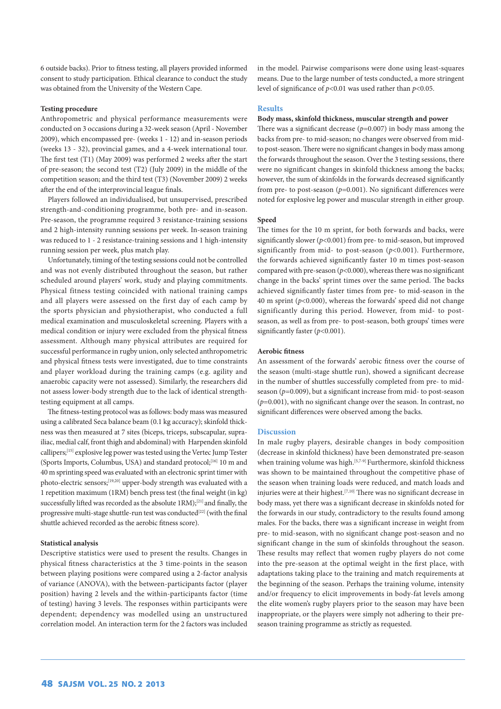6 outside backs). Prior to fitness testing, all players provided informed consent to study participation. Ethical clearance to conduct the study was obtained from the University of the Western Cape.

## **Testing procedure**

Anthropometric and physical performance measurements were conducted on 3 occasions during a 32-week season (April - November 2009), which encompassed pre- (weeks 1 - 12) and in-season periods (weeks 13 - 32), provincial games, and a 4-week international tour. The first test (T1) (May 2009) was performed 2 weeks after the start of pre-season; the second test (T2) (July 2009) in the middle of the competition season; and the third test (T3) (November 2009) 2 weeks after the end of the interprovincial league finals.

Players followed an individualised, but unsupervised, prescribed strength-and-conditioning programme, both pre- and in-season. Pre-season, the programme required 3 resistance-training sessions and 2 high-intensity running sessions per week. In-season training was reduced to 1 - 2 resistance-training sessions and 1 high-intensity running session per week, plus match play.

Unfortunately, timing of the testing sessions could not be controlled and was not evenly distributed throughout the season, but rather scheduled around players' work, study and playing commitments. Physical fitness testing coincided with national training camps and all players were assessed on the first day of each camp by the sports physician and physiotherapist, who conducted a full medical examination and musculoskeletal screening. Players with a medical condition or injury were excluded from the physical fitness assessment. Although many physical attributes are required for successful performance in rugby union, only selected anthropometric and physical fitness tests were investigated, due to time constraints and player workload during the training camps (e.g. agility and anaerobic capacity were not assessed). Similarly, the researchers did not assess lower-body strength due to the lack of identical strengthtesting equipment at all camps.

The fitness-testing protocol was as follows: body mass was measured using a calibrated Seca balance beam (0.1 kg accuracy); skinfold thickness was then measured at 7 sites (biceps, triceps, subscapular, suprailiac, medial calf, front thigh and abdominal) with Harpenden skinfold callipers;[15] explosive leg power was tested using the Vertec Jump Tester (Sports Imports, Columbus, USA) and standard protocol;<sup>[16]</sup> 10 m and 40 m sprinting speed was evaluated with an electronic sprint timer with photo-electric sensors;[19,20] upper-body strength was evaluated with a 1 repetition maximum (1RM) bench press test (the final weight (in kg) successfully lifted was recorded as the absolute 1RM);[21] and finally, the progressive multi-stage shuttle-run test was conducted<sup>[22]</sup> (with the final shuttle achieved recorded as the aerobic fitness score).

## **Statistical analysis**

Descriptive statistics were used to present the results. Changes in physical fitness characteristics at the 3 time-points in the season between playing positions were compared using a 2-factor analysis of variance (ANOVA), with the between-participants factor (player position) having 2 levels and the within-participants factor (time of testing) having 3 levels. The responses within participants were dependent; dependency was modelled using an unstructured correlation model. An interaction term for the 2 factors was included

in the model. Pairwise comparisons were done using least-squares means. Due to the large number of tests conducted, a more stringent level of significance of *p*<0.01 was used rather than *p*<0.05.

## **Results**

## **Body mass, skinfold thickness, muscular strength and power**

There was a significant decrease ( $p=0.007$ ) in body mass among the backs from pre- to mid-season; no changes were observed from midto post-season. There were no significant changes in body mass among the forwards throughout the season. Over the 3 testing sessions, there were no significant changes in skinfold thickness among the backs; however, the sum of skinfolds in the forwards decreased significantly from pre- to post-season ( $p=0.001$ ). No significant differences were noted for explosive leg power and muscular strength in either group.

## **Speed**

The times for the 10 m sprint, for both forwards and backs, were significantly slower (*p*<0.001) from pre- to mid-season, but improved significantly from mid- to post-season (*p*<0.001). Furthermore, the forwards achieved significantly faster 10 m times post-season compared with pre-season (*p*<0.000), whereas there was no significant change in the backs' sprint times over the same period. The backs achieved significantly faster times from pre- to mid-season in the 40 m sprint  $(p<0.000)$ , whereas the forwards' speed did not change significantly during this period. However, from mid- to postseason, as well as from pre- to post-season, both groups' times were significantly faster (*p*<0.001).

#### **Aerobic fitness**

An assessment of the forwards' aerobic fitness over the course of the season (multi-stage shuttle run), showed a significant decrease in the number of shuttles successfully completed from pre- to midseason (*p=*0.009), but a significant increase from mid- to post-season  $(p=0.001)$ , with no significant change over the season. In contrast, no significant differences were observed among the backs.

## **Discussion**

In male rugby players, desirable changes in body composition (decrease in skinfold thickness) have been demonstrated pre-season when training volume was high.<sup>[5,7-9]</sup> Furthermore, skinfold thickness was shown to be maintained throughout the competitive phase of the season when training loads were reduced, and match loads and injuries were at their highest.<sup>[7,10]</sup> There was no significant decrease in body mass, yet there was a significant decrease in skinfolds noted for the forwards in our study, contradictory to the results found among males. For the backs, there was a significant increase in weight from pre- to mid-season, with no significant change post-season and no significant change in the sum of skinfolds throughout the season. These results may reflect that women rugby players do not come into the pre-season at the optimal weight in the first place, with adaptations taking place to the training and match requirements at the beginning of the season. Perhaps the training volume, intensity and/or frequency to elicit improvements in body-fat levels among the elite women's rugby players prior to the season may have been inappropriate, or the players were simply not adhering to their preseason training programme as strictly as requested.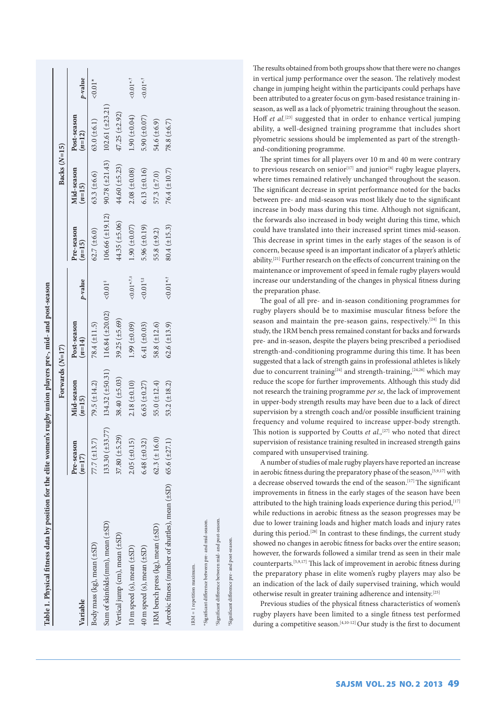| 90.78 ( $\pm 21.43$ ) 102.61 ( $\pm 23.21$ )<br>44.60 (±5.23)<br>$2.08 (\pm 0.08)$<br>$6.13 (\pm 0.16)$<br>Mid-season<br>$63.3 (\pm 6.6)$<br>$57.3 (\pm 7.0)$<br>$(n=15)$<br>$106.66 (\pm 19.12)$<br>44.35 $(\pm 5.06)$<br>$1.90 \ (\pm 0.07)$<br>5.96 ( $\pm 0.19$ )<br>Pre-season<br>62.7 ( $\pm$ 6.0)<br>55.8 $(\pm 9.2)$<br>$(n=15)$<br>${<}0.01$ * $,1.3$<br>$< 0.01$ <sup>t,#</sup><br>p-value<br>${<}0.01*$<br>$116.84(\pm20.02)$<br>39.25 ( $\pm$ 5.69)<br>Post-season<br>78.4 ( $\pm$ 11.5)<br>$1.99 \ (\pm 0.09)$<br>6.41 ( $\pm$ 0.03)<br>58.8 $(\pm 12.6)$<br>$(n=14)$<br>$134.32 (\pm 50.31)$<br>$38.40 (\pm 5.03)$<br>79.5 $(\pm 14.2)$<br>$2.18 (\pm 0.10)$<br>Mid-season<br>6.63 ( $\pm$ 0.27)<br>55.0 $(\pm 12.4)$<br>$(n=15)$<br>$133.30 (\pm 33.77)$<br>$37.80(\pm 5.29)$<br>$62.3 (\pm 16.0)$<br>$2.05 \ (\pm 0.15)$<br>77.7 $(\pm 13.7)$<br>6.48 ( $\pm$ 0.32)<br>Pre-season<br>$(n=17)$<br>Sum of skinfolds (mm), mean (±SD)<br>IRM bench press (kg), mean (±SD)<br>Vertical jump (cm), mean (±SD)<br>Body mass (kg), mean (±SD)<br>40 m speed (s), mean (±SD)<br>10 m speed (s), mean (±SD)<br>Variable |                                                        |                   | Forwards (N=17)   |                   |           |                   | Backs (N=15) |                         |            |
|--------------------------------------------------------------------------------------------------------------------------------------------------------------------------------------------------------------------------------------------------------------------------------------------------------------------------------------------------------------------------------------------------------------------------------------------------------------------------------------------------------------------------------------------------------------------------------------------------------------------------------------------------------------------------------------------------------------------------------------------------------------------------------------------------------------------------------------------------------------------------------------------------------------------------------------------------------------------------------------------------------------------------------------------------------------------------------------------------------------------------------|--------------------------------------------------------|-------------------|-------------------|-------------------|-----------|-------------------|--------------|-------------------------|------------|
|                                                                                                                                                                                                                                                                                                                                                                                                                                                                                                                                                                                                                                                                                                                                                                                                                                                                                                                                                                                                                                                                                                                                |                                                        |                   |                   |                   |           |                   |              | Post-season<br>$(n=12)$ | p-value    |
|                                                                                                                                                                                                                                                                                                                                                                                                                                                                                                                                                                                                                                                                                                                                                                                                                                                                                                                                                                                                                                                                                                                                |                                                        |                   |                   |                   |           |                   |              | 63.0 $(\pm 6.1)$        | $50.01*$   |
|                                                                                                                                                                                                                                                                                                                                                                                                                                                                                                                                                                                                                                                                                                                                                                                                                                                                                                                                                                                                                                                                                                                                |                                                        |                   |                   |                   |           |                   |              |                         |            |
|                                                                                                                                                                                                                                                                                                                                                                                                                                                                                                                                                                                                                                                                                                                                                                                                                                                                                                                                                                                                                                                                                                                                |                                                        |                   |                   |                   |           |                   |              | $47.25(\pm 2.92)$       |            |
|                                                                                                                                                                                                                                                                                                                                                                                                                                                                                                                                                                                                                                                                                                                                                                                                                                                                                                                                                                                                                                                                                                                                |                                                        |                   |                   |                   |           |                   |              | 1.90 ( $\pm 0.04$ )     | $<0.01**$  |
|                                                                                                                                                                                                                                                                                                                                                                                                                                                                                                                                                                                                                                                                                                                                                                                                                                                                                                                                                                                                                                                                                                                                |                                                        |                   |                   |                   |           |                   |              | 5.90 ( $\pm 0.07$ )     | $< 0.01**$ |
|                                                                                                                                                                                                                                                                                                                                                                                                                                                                                                                                                                                                                                                                                                                                                                                                                                                                                                                                                                                                                                                                                                                                |                                                        |                   |                   |                   |           |                   |              | 54.6 ( $\pm$ 6.9)       |            |
|                                                                                                                                                                                                                                                                                                                                                                                                                                                                                                                                                                                                                                                                                                                                                                                                                                                                                                                                                                                                                                                                                                                                | Aerobic fitness (number of shuttles), mean ( $\pm$ SD) | 65.6 $(\pm 27.1)$ | 53.2 $(\pm 18.2)$ | $62.6 (\pm 13.9)$ | $<0.01**$ | $80.4 (\pm 15.3)$ | 76.4 (±10.7) | 78.8 ( $\pm$ 6.7)       |            |
|                                                                                                                                                                                                                                                                                                                                                                                                                                                                                                                                                                                                                                                                                                                                                                                                                                                                                                                                                                                                                                                                                                                                | IRM = 1 repetition maximum.                            |                   |                   |                   |           |                   |              |                         |            |

\*Significant difference between pre- and mid-season. Significant difference between pre- and mid-season.

†Significant difference between mid- and post-season. significant difference between mid- and post-season

‡Significant difference pre- and post-season.

Significant difference pre- and post-season

The results obtained from both groups show that there were no changes in vertical jump performance over the season. The relatively modest change in jumping height within the participants could perhaps have been attributed to a greater focus on gym-based resistance training inseason, as well as a lack of plyometric training throughout the season. Hoff *et al.*<sup>[23]</sup> suggested that in order to enhance vertical jumping ability, a well-designed training programme that includes short plyometric sessions should be implemented as part of the strengthand-conditioning programme.

The sprint times for all players over 10 m and 40 m were contrary to previous research on senior $[17]$  and junior $[8]$  rugby league players, where times remained relatively unchanged throughout the season. The significant decrease in sprint performance noted for the backs between pre- and mid-season was most likely due to the significant increase in body mass during this time. Although not significant, the forwards also increased in body weight during this time, which could have translated into their increased sprint times mid-season. This decrease in sprint times in the early stages of the season is of concern, because speed is an important indicator of a player's athletic ability.[21] Further research on the effects of concurrent training on the maintenance or improvement of speed in female rugby players would increase our understanding of the changes in physical fitness during the preparation phase.

The goal of all pre- and in-season conditioning programmes for rugby players should be to maximise muscular fitness before the season and maintain the pre-season gains, respectively.<sup>[24]</sup> In this study, the 1RM bench press remained constant for backs and forwards pre- and in-season, despite the players being prescribed a periodised strength-and-conditioning programme during this time. It has been suggested that a lack of strength gains in professional athletes is likely due to concurrent training<sup>[24]</sup> and strength-training,<sup>[24,26]</sup> which may reduce the scope for further improvements. Although this study did not research the training programme *per se*, the lack of improvement in upper-body strength results may have been due to a lack of direct supervision by a strength coach and/or possible insufficient training frequency and volume required to increase upper-body strength. This notion is supported by Coutts *et al.*<sup>[27]</sup> who noted that direct supervision of resistance training resulted in increased strength gains compared with unsupervised training.

A number of studies of male rugby players have reported an increase in aerobic fitness during the preparatory phase of the season,<sup>[5,9,17]</sup> with a decrease observed towards the end of the season.<sup>[17]</sup> The significant improvements in fitness in the early stages of the season have been attributed to the high training loads experience during this period, [17] while reductions in aerobic fitness as the season progresses may be due to lower training loads and higher match loads and injury rates during this period.<sup>[28]</sup> In contrast to these findings, the current study showed no changes in aerobic fitness for backs over the entire season; however, the forwards followed a similar trend as seen in their male counterparts.[5,9,17] This lack of improvement in aerobic fitness during the preparatory phase in elite women's rugby players may also be an indication of the lack of daily supervised training, which would otherwise result in greater training adherence and intensity.[25]

Previous studies of the physical fitness characteristics of women's rugby players have been limited to a single fitness test performed during a competitive season. [4,10-12] Our study is the first to document